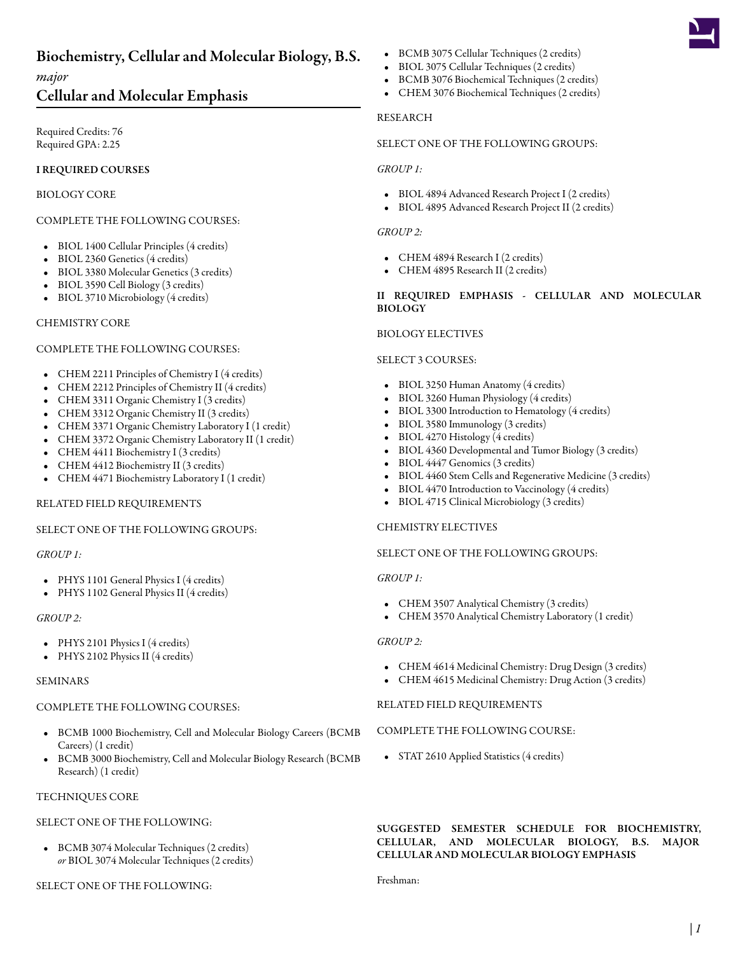# Biochemistry, Cellular and Molecular Biology, B.S.

*major*

# Cellular and Molecular Emphasis

Required Credits: 76 Required GPA: 2.25

# I REQUIRED COURSES

# BIOLOGY CORE

# COMPLETE THE FOLLOWING COURSES:

- BIOL 1400 [Cellular Principles](/academics/catalog/20223/courses/biol/1400) (4 credits)
- BIOL 2360 [Genetics](/academics/catalog/20223/courses/biol/2360) (4 credits)
- BIOL 3380 [Molecular Genetics](/academics/catalog/20223/courses/biol/3380) (3 credits)
- BIOL 3590 [Cell Biology](/academics/catalog/20223/courses/biol/3590) (3 credits)
- BIOL 3710 [Microbiology](/academics/catalog/20223/courses/biol/3710) (4 credits)

#### CHEMISTRY CORE

#### COMPLETE THE FOLLOWING COURSES:

- CHEM 2211 [Principles of Chemistry I](/academics/catalog/20223/courses/chem/2211) (4 credits)
- CHEM 2212 [Principles of Chemistry II](/academics/catalog/20223/courses/chem/2212) (4 credits)
- CHEM 3311 [Organic Chemistry I](/academics/catalog/20223/courses/chem/3311) (3 credits)
- CHEM 3312 [Organic Chemistry II](/academics/catalog/20223/courses/chem/3312) (3 credits)
- CHEM 3371 [Organic Chemistry Laboratory I](/academics/catalog/20223/courses/chem/3371) (1 credit)
- CHEM 3372 [Organic Chemistry Laboratory II](/academics/catalog/20223/courses/chem/3372) (1 credit)
- CHEM 4411 [Biochemistry I](/academics/catalog/20223/courses/chem/4411) (3 credits)
- CHEM 4412 [Biochemistry II](/academics/catalog/20223/courses/chem/4412) (3 credits)
- CHEM 4471 [Biochemistry Laboratory I](/academics/catalog/20223/courses/chem/4471) (1 credit)

# RELATED FIELD REQUIREMENTS

#### SELECT ONE OF THE FOLLOWING GROUPS:

#### *GROUP 1:*

- PHYS 1101 [General Physics I](/academics/catalog/20223/courses/phys/1101) (4 credits)
- PHYS 1102 [General Physics II](/academics/catalog/20223/courses/phys/1102) (4 credits)

#### *GROUP 2:*

- PHYS 2101 [Physics I](/academics/catalog/20223/courses/phys/2101) (4 credits)
- PHYS 2102 [Physics II](/academics/catalog/20223/courses/phys/2102) (4 credits)

#### SEMINARS

#### COMPLETE THE FOLLOWING COURSES:

- BCMB 1000 [Biochemistry, Cell and Molecular Biology Careers \(BCMB](/academics/catalog/20223/courses/bcmb/1000) [Careers\)](/academics/catalog/20223/courses/bcmb/1000) (1 credit)
- BCMB 3000 [Biochemistry, Cell and Molecular Biology Research \(BCMB](/academics/catalog/20223/courses/bcmb/3000) [Research\)](/academics/catalog/20223/courses/bcmb/3000) (1 credit)

#### TECHNIQUES CORE

#### SELECT ONE OF THE FOLLOWING:

• BCMB 3074 [Molecular Techniques](/academics/catalog/20223/courses/bcmb/3074) (2 credits) *or* BIOL 3074 [Molecular Techniques](/academics/catalog/20223/courses/biol/3074) (2 credits)

SELECT ONE OF THE FOLLOWING:

- BCMB 3075 [Cellular Techniques](/academics/catalog/20223/courses/bcmb/3075) (2 credits)
- BIOL 3075 [Cellular Techniques](/academics/catalog/20223/courses/biol/3075) (2 credits)
- BCMB 3076 [Biochemical Techniques](/academics/catalog/20223/courses/bcmb/3076) (2 credits)
- CHEM 3076 [Biochemical Techniques](/academics/catalog/20223/courses/chem/3076) (2 credits)

#### RESEARCH

# SELECT ONE OF THE FOLLOWING GROUPS:

#### *GROUP 1:*

- BIOL 4894 [Advanced Research Project I](/academics/catalog/20223/courses/biol/4894) (2 credits)
- BIOL 4895 [Advanced Research Project II](/academics/catalog/20223/courses/biol/4895) (2 credits)

#### *GROUP 2:*

- CHEM 4894 [Research I](/academics/catalog/20223/courses/chem/4894) (2 credits)
- CHEM 4895 [Research II](/academics/catalog/20223/courses/chem/4895) (2 credits)

#### II REQUIRED EMPHASIS - CELLULAR AND MOLECULAR BIOLOGY

#### BIOLOGY ELECTIVES

#### SELECT 3 COURSES:

- BIOL 3250 [Human Anatomy](/academics/catalog/20223/courses/biol/3250) (4 credits)
- BIOL 3260 [Human Physiology](/academics/catalog/20223/courses/biol/3260) (4 credits)
- BIOL 3300 [Introduction to Hematology](/academics/catalog/20223/courses/biol/3300) (4 credits)
- BIOL 3580 [Immunology](/academics/catalog/20223/courses/biol/3580) (3 credits)
- BIOL 4270 [Histology](/academics/catalog/20223/courses/biol/4270) (4 credits)
- BIOL 4360 [Developmental and Tumor Biology](/academics/catalog/20223/courses/biol/4360) (3 credits)
- BIOL 4447 [Genomics](/academics/catalog/20223/courses/biol/4447) (3 credits)
- BIOL 4460 [Stem Cells and Regenerative Medicine](/academics/catalog/20223/courses/biol/4460) (3 credits)
- BIOL 4470 [Introduction to Vaccinology](/academics/catalog/20223/courses/biol/4470) (4 credits)
- BIOL 4715 [Clinical Microbiology](/academics/catalog/20223/courses/biol/4715) (3 credits)

#### CHEMISTRY ELECTIVES

#### SELECT ONE OF THE FOLLOWING GROUPS:

#### *GROUP 1:*

- CHEM 3507 [Analytical Chemistry](/academics/catalog/20223/courses/chem/3507) (3 credits)
- CHEM 3570 [Analytical Chemistry Laboratory](/academics/catalog/20223/courses/chem/3570) (1 credit)

#### *GROUP 2:*

- CHEM 4614 [Medicinal Chemistry: Drug Design](/academics/catalog/20223/courses/chem/4614) (3 credits)
- CHEM 4615 [Medicinal Chemistry: Drug Action](/academics/catalog/20223/courses/chem/4615) (3 credits)

#### RELATED FIELD REQUIREMENTS

#### COMPLETE THE FOLLOWING COURSE:

• STAT 2610 [Applied Statistics](/academics/catalog/20223/courses/stat/2610) (4 credits)

# SUGGESTED SEMESTER SCHEDULE FOR BIOCHEMISTRY, CELLULAR, AND MOLECULAR BIOLOGY, B.S. MAJOR CELLULAR AND MOLECULAR BIOLOGY EMPHASIS

Freshman: